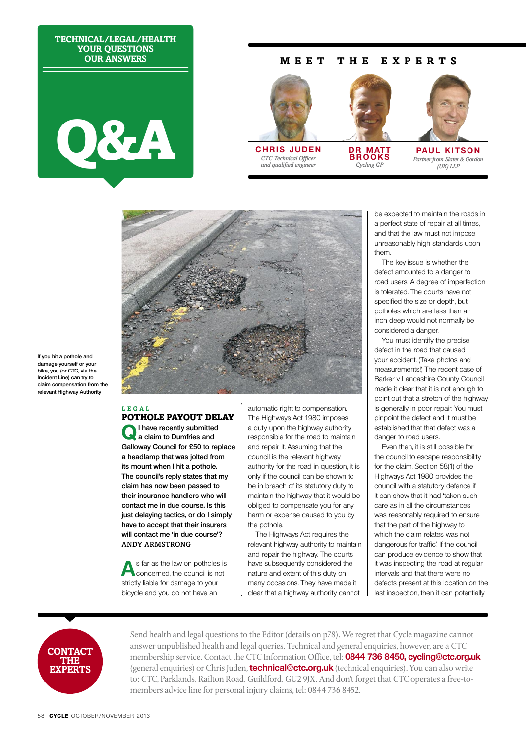**Technical/Legal/Health Your questions Our answers**



## **M EE T TH E E X P E RTS**



*CTC Technical Officer and qualified engineer* 



**DR MATT brooks** *Cycling GP*



**PAUL KITSON** *Partner from Slater & Gordon (UK) LLP*



**If you hit a pothole and damage yourself or your bike, you (or CTC, via the Incident Line) can try to claim compensation from the relevant Highway Authority**

### **Lega l** POTHOLE PAYOUT DELAY

**QI have recently submitted a claim to Dumfries and Galloway Council for £50 to replace a headlamp that was jolted from its mount when I hit a pothole. The council's reply states that my claim has now been passed to their insurance handlers who will contact me in due course. Is this just delaying tactics, or do I simply have to accept that their insurers will contact me 'in due course'?**  Andy Armstrong

**A**s far as the law on potholes is concerned, the council is not strictly liable for damage to your bicycle and you do not have an

automatic right to compensation. The Highways Act 1980 imposes a duty upon the highway authority responsible for the road to maintain and repair it. Assuming that the council is the relevant highway authority for the road in question, it is only if the council can be shown to be in breach of its statutory duty to maintain the highway that it would be obliged to compensate you for any harm or expense caused to you by the pothole.

The Highways Act requires the relevant highway authority to maintain and repair the highway. The courts have subsequently considered the nature and extent of this duty on many occasions. They have made it clear that a highway authority cannot

be expected to maintain the roads in a perfect state of repair at all times, and that the law must not impose unreasonably high standards upon them.

The key issue is whether the defect amounted to a danger to road users. A degree of imperfection is tolerated. The courts have not specified the size or depth, but potholes which are less than an inch deep would not normally be considered a danger.

You must identify the precise defect in the road that caused your accident. (Take photos and measurements!) The recent case of Barker v Lancashire County Council made it clear that it is not enough to point out that a stretch of the highway is generally in poor repair. You must pinpoint the defect and it must be established that that defect was a danger to road users.

Even then, it is still possible for the council to escape responsibility for the claim. Section 58(1) of the Highways Act 1980 provides the council with a statutory defence if it can show that it had 'taken such care as in all the circumstances was reasonably required to ensure that the part of the highway to which the claim relates was not dangerous for traffic'. If the council can produce evidence to show that it was inspecting the road at regular intervals and that there were no defects present at this location on the last inspection, then it can potentially



Send health and legal questions to the Editor (details on p78). We regret that Cycle magazine cannot answer unpublished health and legal queries. Technical and general enquiries, however, are a CTC membership service. Contact the CTC Information Office, tel: **0844 736 8450, cycling@ctc.org.uk** (general enquiries) or Chris Juden, **technical@ctc.org.uk** (technical enquiries). You can also write to: CTC, Parklands, Railton Road, Guildford, GU2 9JX. And don't forget that CTC operates a free-tomembers advice line for personal injury claims, tel: 0844 736 8452.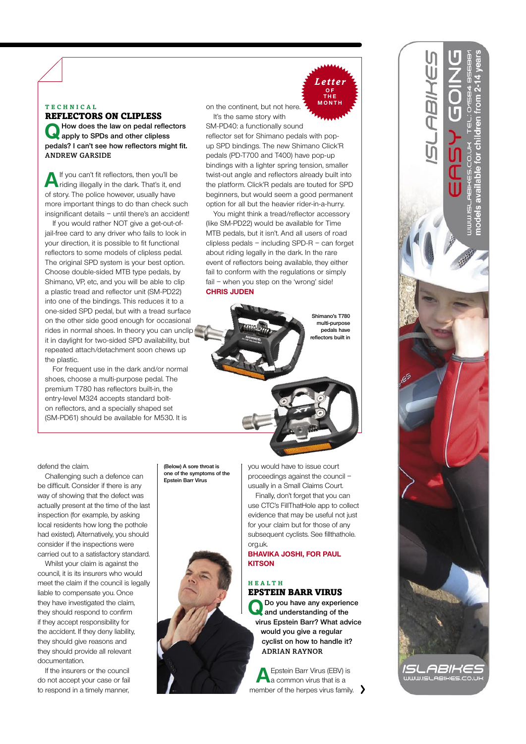## **Tec h nica l**

Reflectors on clipless **QHow does the law on pedal reflectors apply to SPDs and other clipless pedals? I can't see how reflectors might fit.** Andrew Garside

**A** If you can't fit reflectors, then you'll be riding illegally in the dark. That's it, end of story. The police however, usually have more important things to do than check such insignificant details – until there's an accident!

If you would rather NOT give a get-out-ofjail-free card to any driver who fails to look in your direction, it is possible to fit functional reflectors to some models of clipless pedal. The original SPD system is your best option. Choose double-sided MTB type pedals, by Shimano, VP, etc, and you will be able to clip a plastic tread and reflector unit (SM-PD22) into one of the bindings. This reduces it to a one-sided SPD pedal, but with a tread surface on the other side good enough for occasional rides in normal shoes. In theory you can unclip it in daylight for two-sided SPD availability, but repeated attach/detachment soon chews up the plastic.

For frequent use in the dark and/or normal shoes, choose a multi-purpose pedal. The premium T780 has reflectors built-in, the entry-level M324 accepts standard bolton reflectors, and a specially shaped set (SM-PD61) should be available for M530. It is

on the continent, but not here. It's the same story with

SM-PD40: a functionally sound reflector set for Shimano pedals with popup SPD bindings. The new Shimano Click'R pedals (PD-T700 and T400) have pop-up bindings with a lighter spring tension, smaller twist-out angle and reflectors already built into the platform. Click'R pedals are touted for SPD beginners, but would seem a good permanent option for all but the heavier rider-in-a-hurry.

You might think a tread/reflector accessory (like SM-PD22) would be available for Time MTB pedals, but it isn't. And all users of road clipless pedals – including SPD-R – can forget about riding legally in the dark. In the rare event of reflectors being available, they either fail to conform with the regulations or simply fail – when you step on the 'wrong' side! **Chris Juden**

> **Shimano's T780 multi-purpose pedals have reflectors built in**

*Letter* **o f the**

defend the claim.

Challenging such a defence can be difficult. Consider if there is any way of showing that the defect was actually present at the time of the last inspection (for example, by asking local residents how long the pothole had existed). Alternatively, you should consider if the inspections were carried out to a satisfactory standard.

Whilst your claim is against the council, it is its insurers who would meet the claim if the council is legally liable to compensate you. Once they have investigated the claim, they should respond to confirm if they accept responsibility for the accident. If they deny liability, they should give reasons and they should provide all relevant documentation.

If the insurers or the council do not accept your case or fail to respond in a timely manner, **(Below) A sore throat is one of the symptoms of the Epstein Barr Virus**



you would have to issue court proceedings against the council – usually in a Small Claims Court. Finally, don't forget that you can use CTC's FillThatHole app to collect evidence that may be useful not just for your claim but for those of any subsequent cyclists. See fillthathole. org.uk.

**Bhavika Joshi, for Paul Kitson**

### **Hea lth** EPSTEIN BARR VIRUS

**QDo you have any experience and understanding of the virus Epstein Barr? What advice would you give a regular cyclist on how to handle it?** Adrian Raynor

**A**Epstein Barr Virus (EBV) is a common virus that is a member of the herpes virus family.